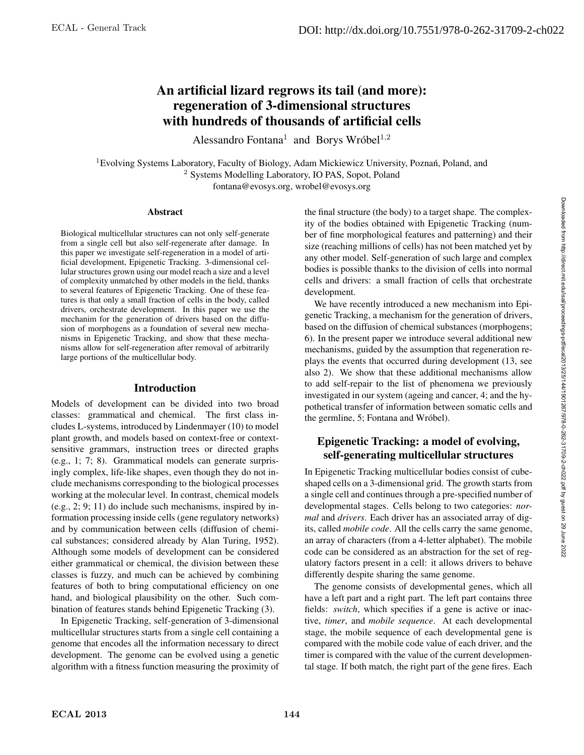# An artificial lizard regrows its tail (and more): regeneration of 3-dimensional structures with hundreds of thousands of artificial cells

Alessandro Fontana<sup>1</sup> and Borys Wróbel<sup>1,2</sup>

<sup>1</sup> Evolving Systems Laboratory, Faculty of Biology, Adam Mickiewicz University, Poznań, Poland, and <sup>2</sup> Systems Modelling Laboratory, IO PAS, Sopot, Poland fontana@evosys.org, wrobel@evosys.org

#### **Abstract**

Biological multicellular structures can not only self-generate from a single cell but also self-regenerate after damage. In this paper we investigate self-regeneration in a model of artificial development, Epigenetic Tracking. 3-dimensional cellular structures grown using our model reach a size and a level of complexity unmatched by other models in the field, thanks to several features of Epigenetic Tracking. One of these features is that only a small fraction of cells in the body, called drivers, orchestrate development. In this paper we use the mechanim for the generation of drivers based on the diffusion of morphogens as a foundation of several new mechanisms in Epigenetic Tracking, and show that these mechanisms allow for self-regeneration after removal of arbitrarily large portions of the multicellular body.

#### Introduction

Models of development can be divided into two broad classes: grammatical and chemical. The first class includes L-systems, introduced by Lindenmayer (10) to model plant growth, and models based on context-free or contextsensitive grammars, instruction trees or directed graphs (e.g., 1; 7; 8). Grammatical models can generate surprisingly complex, life-like shapes, even though they do not include mechanisms corresponding to the biological processes working at the molecular level. In contrast, chemical models (e.g., 2; 9; 11) do include such mechanisms, inspired by information processing inside cells (gene regulatory networks) and by communication between cells (diffusion of chemical substances; considered already by Alan Turing, 1952). Although some models of development can be considered either grammatical or chemical, the division between these classes is fuzzy, and much can be achieved by combining features of both to bring computational efficiency on one hand, and biological plausibility on the other. Such combination of features stands behind Epigenetic Tracking (3).

In Epigenetic Tracking, self-generation of 3-dimensional multicellular structures starts from a single cell containing a genome that encodes all the information necessary to direct development. The genome can be evolved using a genetic algorithm with a fitness function measuring the proximity of

the final structure (the body) to a target shape. The complexity of the bodies obtained with Epigenetic Tracking (number of fine morphological features and patterning) and their size (reaching millions of cells) has not been matched yet by any other model. Self-generation of such large and complex bodies is possible thanks to the division of cells into normal cells and drivers: a small fraction of cells that orchestrate development.

We have recently introduced a new mechanism into Epigenetic Tracking, a mechanism for the generation of drivers, based on the diffusion of chemical substances (morphogens; 6). In the present paper we introduce several additional new mechanisms, guided by the assumption that regeneration replays the events that occurred during development (13, see also 2). We show that these additional mechanisms allow to add self-repair to the list of phenomena we previously investigated in our system (ageing and cancer, 4; and the hypothetical transfer of information between somatic cells and the germline, 5; Fontana and Wróbel).

### Epigenetic Tracking: a model of evolving, self-generating multicellular structures

In Epigenetic Tracking multicellular bodies consist of cubeshaped cells on a 3-dimensional grid. The growth starts from a single cell and continues through a pre-specified number of developmental stages. Cells belong to two categories: *normal* and *drivers*. Each driver has an associated array of digits, called *mobile code*. All the cells carry the same genome, an array of characters (from a 4-letter alphabet). The mobile code can be considered as an abstraction for the set of regulatory factors present in a cell: it allows drivers to behave differently despite sharing the same genome.

The genome consists of developmental genes, which all have a left part and a right part. The left part contains three fields: *switch*, which specifies if a gene is active or inactive, *timer*, and *mobile sequence*. At each developmental stage, the mobile sequence of each developmental gene is compared with the mobile code value of each driver, and the timer is compared with the value of the current developmental stage. If both match, the right part of the gene fires. Each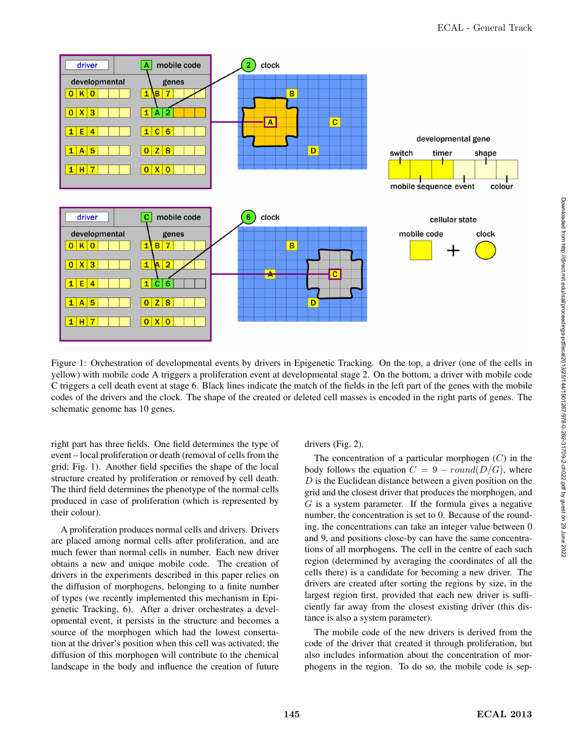

Figure 1: Orchestration of developmental events by drivers in Epigenetic Tracking. On the top, a driver (one of the cells in yellow) with mobile code A triggers a proliferation event at developmental stage 2. On the bottom, a driver with mobile code C triggers a cell death event at stage 6. Black lines indicate the match of the fields in the left part of the genes with the mobile codes of the drivers and the clock. The shape of the created or deleted cell masses is encoded in the right parts of genes. The schematic genome has 10 genes.

right part has three fields. One field determines the type of event – local proliferation or death (removal of cells from the grid; Fig. 1). Another field specifies the shape of the local structure created by proliferation or removed by cell death. The third field determines the phenotype of the normal cells produced in case of proliferation (which is represented by their colour).

A proliferation produces normal cells and drivers. Drivers are placed among normal cells after proliferation, and are much fewer than normal cells in number. Each new driver obtains a new and unique mobile code. The creation of drivers in the experiments described in this paper relies on the diffusion of morphogens, belonging to a finite number of types (we recently implemented this mechanism in Epigenetic Tracking, 6). After a driver orchestrates a developmental event, it persists in the structure and becomes a source of the morphogen which had the lowest consertation at the driver's position when this cell was activated; the diffusion of this morphogen will contribute to the chemical landscape in the body and influence the creation of future drivers (Fig. 2).

The concentration of a particular morphogen  $(C)$  in the body follows the equation  $C = 9 - round(D/G)$ , where  $D$  is the Euclidean distance between a given position on the grid and the closest driver that produces the morphogen, and  $G$  is a system parameter. If the formula gives a negative number, the concentration is set to 0. Because of the rounding, the concentrations can take an integer value between 0 and 9, and positions close-by can have the same concentrations of all morphogens. The cell in the centre of each such region (determined by averaging the coordinates of all the cells there) is a candidate for becoming a new driver. The drivers are created after sorting the regions by size, in the largest region first, provided that each new driver is sufficiently far away from the closest existing driver (this distance is also a system parameter).

The mobile code of the new drivers is derived from the code of the driver that created it through proliferation, but also includes information about the concentration of morphogens in the region. To do so, the mobile code is sep-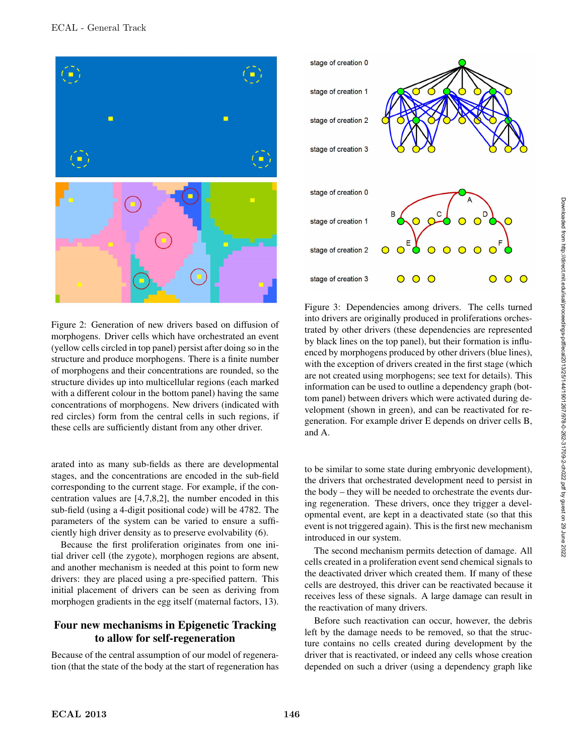



arated into as many sub-fields as there are developmental stages, and the concentrations are encoded in the sub-field corresponding to the current stage. For example, if the concentration values are [4,7,8,2], the number encoded in this sub-field (using a 4-digit positional code) will be 4782. The parameters of the system can be varied to ensure a sufficiently high driver density as to preserve evolvability (6).

Because the first proliferation originates from one initial driver cell (the zygote), morphogen regions are absent, and another mechanism is needed at this point to form new drivers: they are placed using a pre-specified pattern. This initial placement of drivers can be seen as deriving from morphogen gradients in the egg itself (maternal factors, 13).

# Four new mechanisms in Epigenetic Tracking to allow for self-regeneration

Because of the central assumption of our model of regeneration (that the state of the body at the start of regeneration has



Figure 3: Dependencies among drivers. The cells turned into drivers are originally produced in proliferations orchestrated by other drivers (these dependencies are represented by black lines on the top panel), but their formation is influenced by morphogens produced by other drivers (blue lines), with the exception of drivers created in the first stage (which are not created using morphogens; see text for details). This information can be used to outline a dependency graph (bottom panel) between drivers which were activated during development (shown in green), and can be reactivated for regeneration. For example driver E depends on driver cells B, and A.

to be similar to some state during embryonic development), the drivers that orchestrated development need to persist in the body – they will be needed to orchestrate the events during regeneration. These drivers, once they trigger a developmental event, are kept in a deactivated state (so that this event is not triggered again). This is the first new mechanism introduced in our system.

The second mechanism permits detection of damage. All cells created in a proliferation event send chemical signals to the deactivated driver which created them. If many of these cells are destroyed, this driver can be reactivated because it receives less of these signals. A large damage can result in the reactivation of many drivers.

Before such reactivation can occur, however, the debris left by the damage needs to be removed, so that the structure contains no cells created during development by the driver that is reactivated, or indeed any cells whose creation depended on such a driver (using a dependency graph like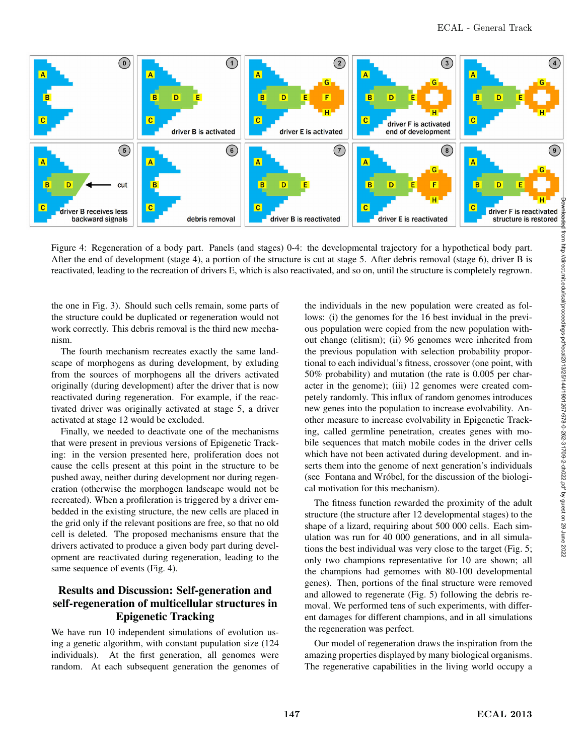

Figure 4: Regeneration of a body part. Panels (and stages) 0-4: the developmental trajectory for a hypothetical body part. After the end of development (stage 4), a portion of the structure is cut at stage 5. After debris removal (stage 6), driver B is reactivated, leading to the recreation of drivers E, which is also reactivated, and so on, until the structure is completely regrown.

the one in Fig. 3). Should such cells remain, some parts of the structure could be duplicated or regeneration would not work correctly. This debris removal is the third new mechanism.

The fourth mechanism recreates exactly the same landscape of morphogens as during development, by exluding from the sources of morphogens all the drivers activated originally (during development) after the driver that is now reactivated during regeneration. For example, if the reactivated driver was originally activated at stage 5, a driver activated at stage 12 would be excluded.

Finally, we needed to deactivate one of the mechanisms that were present in previous versions of Epigenetic Tracking: in the version presented here, proliferation does not cause the cells present at this point in the structure to be pushed away, neither during development nor during regeneration (otherwise the morphogen landscape would not be recreated). When a profileration is triggered by a driver embedded in the existing structure, the new cells are placed in the grid only if the relevant positions are free, so that no old cell is deleted. The proposed mechanisms ensure that the drivers activated to produce a given body part during development are reactivated during regeneration, leading to the same sequence of events (Fig. 4).

## Results and Discussion: Self-generation and self-regeneration of multicellular structures in Epigenetic Tracking

We have run 10 independent simulations of evolution using a genetic algorithm, with constant pupulation size (124 individuals). At the first generation, all genomes were random. At each subsequent generation the genomes of the individuals in the new population were created as follows: (i) the genomes for the 16 best invidual in the previous population were copied from the new population without change (elitism); (ii) 96 genomes were inherited from the previous population with selection probability proportional to each individual's fitness, crossover (one point, with 50% probability) and mutation (the rate is 0.005 per character in the genome); (iii) 12 genomes were created competely randomly. This influx of random genomes introduces new genes into the population to increase evolvability. Another measure to increase evolvability in Epigenetic Tracking, called germline penetration, creates genes with mobile sequences that match mobile codes in the driver cells which have not been activated during development. and inserts them into the genome of next generation's individuals (see Fontana and Wróbel, for the discussion of the biological motivation for this mechanism).

The fitness function rewarded the proximity of the adult structure (the structure after 12 developmental stages) to the shape of a lizard, requiring about 500 000 cells. Each simulation was run for 40 000 generations, and in all simulations the best individual was very close to the target (Fig. 5; only two champions representative for 10 are shown; all the champions had gemomes with 80-100 developmental genes). Then, portions of the final structure were removed and allowed to regenerate (Fig. 5) following the debris removal. We performed tens of such experiments, with different damages for different champions, and in all simulations the regeneration was perfect.

Our model of regeneration draws the inspiration from the amazing properties displayed by many biological organisms. The regenerative capabilities in the living world occupy a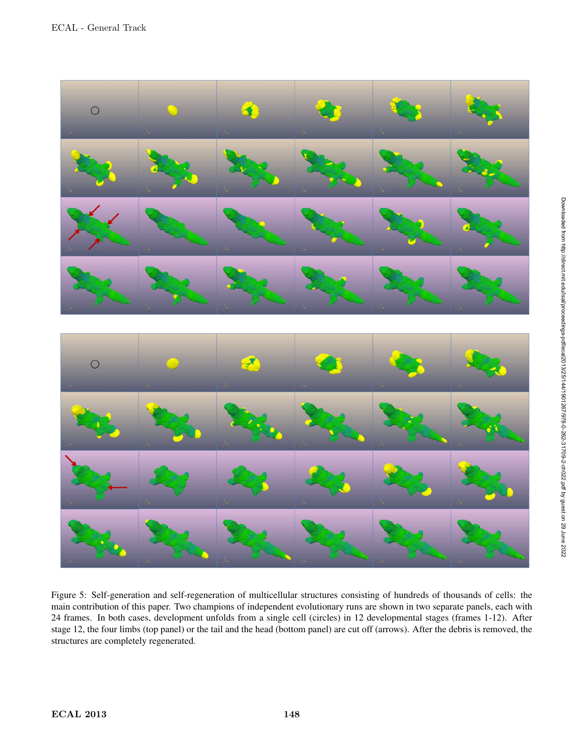

Figure 5: Self-generation and self-regeneration of multicellular structures consisting of hundreds of thousands of cells: the main contribution of this paper. Two champions of independent evolutionary runs are shown in two separate panels, each with 24 frames. In both cases, development unfolds from a single cell (circles) in 12 developmental stages (frames 1-12). After stage 12, the four limbs (top panel) or the tail and the head (bottom panel) are cut off (arrows). After the debris is removed, the structures are completely regenerated.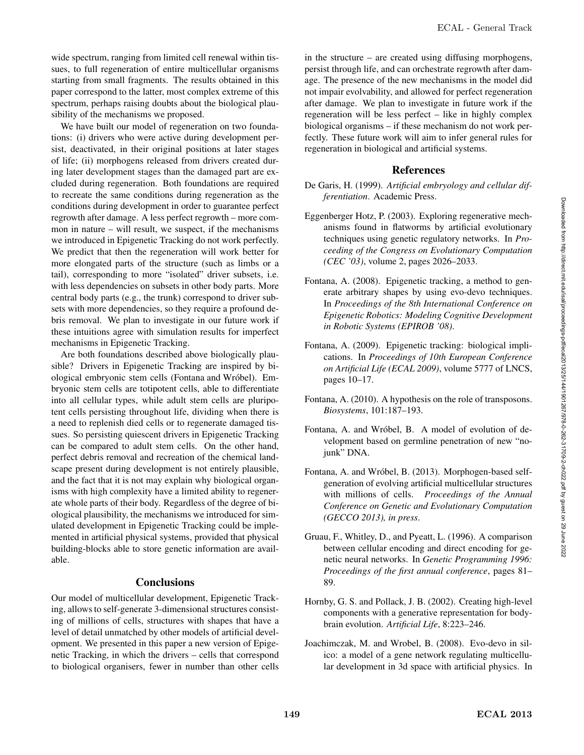wide spectrum, ranging from limited cell renewal within tissues, to full regeneration of entire multicellular organisms starting from small fragments. The results obtained in this paper correspond to the latter, most complex extreme of this spectrum, perhaps raising doubts about the biological plausibility of the mechanisms we proposed.

We have built our model of regeneration on two foundations: (i) drivers who were active during development persist, deactivated, in their original positions at later stages of life; (ii) morphogens released from drivers created during later development stages than the damaged part are excluded during regeneration. Both foundations are required to recreate the same conditions during regeneration as the conditions during development in order to guarantee perfect regrowth after damage. A less perfect regrowth – more common in nature – will result, we suspect, if the mechanisms we introduced in Epigenetic Tracking do not work perfectly. We predict that then the regeneration will work better for more elongated parts of the structure (such as limbs or a tail), corresponding to more "isolated" driver subsets, i.e. with less dependencies on subsets in other body parts. More central body parts (e.g., the trunk) correspond to driver subsets with more dependencies, so they require a profound debris removal. We plan to investigate in our future work if these intuitions agree with simulation results for imperfect mechanisms in Epigenetic Tracking.

Are both foundations described above biologically plausible? Drivers in Epigenetic Tracking are inspired by biological embryonic stem cells (Fontana and Wrobel). Em- ´ bryonic stem cells are totipotent cells, able to differentiate into all cellular types, while adult stem cells are pluripotent cells persisting throughout life, dividing when there is a need to replenish died cells or to regenerate damaged tissues. So persisting quiescent drivers in Epigenetic Tracking can be compared to adult stem cells. On the other hand, perfect debris removal and recreation of the chemical landscape present during development is not entirely plausible, and the fact that it is not may explain why biological organisms with high complexity have a limited ability to regenerate whole parts of their body. Regardless of the degree of biological plausibility, the mechanisms we introduced for simulated development in Epigenetic Tracking could be implemented in artificial physical systems, provided that physical building-blocks able to store genetic information are available.

#### **Conclusions**

Our model of multicellular development, Epigenetic Tracking, allows to self-generate 3-dimensional structures consisting of millions of cells, structures with shapes that have a level of detail unmatched by other models of artificial development. We presented in this paper a new version of Epigenetic Tracking, in which the drivers – cells that correspond to biological organisers, fewer in number than other cells

in the structure – are created using diffusing morphogens, persist through life, and can orchestrate regrowth after damage. The presence of the new mechanisms in the model did not impair evolvability, and allowed for perfect regeneration after damage. We plan to investigate in future work if the regeneration will be less perfect – like in highly complex biological organisms – if these mechanism do not work perfectly. These future work will aim to infer general rules for regeneration in biological and artificial systems.

### References

- De Garis, H. (1999). *Artificial embryology and cellular differentiation*. Academic Press.
- Eggenberger Hotz, P. (2003). Exploring regenerative mechanisms found in flatworms by artificial evolutionary techniques using genetic regulatory networks. In *Proceeding of the Congress on Evolutionary Computation (CEC '03)*, volume 2, pages 2026–2033.
- Fontana, A. (2008). Epigenetic tracking, a method to generate arbitrary shapes by using evo-devo techniques. In *Proceedings of the 8th International Conference on Epigenetic Robotics: Modeling Cognitive Development in Robotic Systems (EPIROB '08)*.
- Fontana, A. (2009). Epigenetic tracking: biological implications. In *Proceedings of 10th European Conference on Artificial Life (ECAL 2009)*, volume 5777 of LNCS, pages 10–17.
- Fontana, A. (2010). A hypothesis on the role of transposons. *Biosystems*, 101:187–193.
- Fontana, A. and Wróbel, B. A model of evolution of development based on germline penetration of new "nojunk" DNA.
- Fontana, A. and Wróbel, B. (2013). Morphogen-based selfgeneration of evolving artificial multicellular structures with millions of cells. *Proceedings of the Annual Conference on Genetic and Evolutionary Computation (GECCO 2013), in press*.
- Gruau, F., Whitley, D., and Pyeatt, L. (1996). A comparison between cellular encoding and direct encoding for genetic neural networks. In *Genetic Programming 1996: Proceedings of the first annual conference*, pages 81– 89.
- Hornby, G. S. and Pollack, J. B. (2002). Creating high-level components with a generative representation for bodybrain evolution. *Artificial Life*, 8:223–246.
- Joachimczak, M. and Wrobel, B. (2008). Evo-devo in silico: a model of a gene network regulating multicellular development in 3d space with artificial physics. In